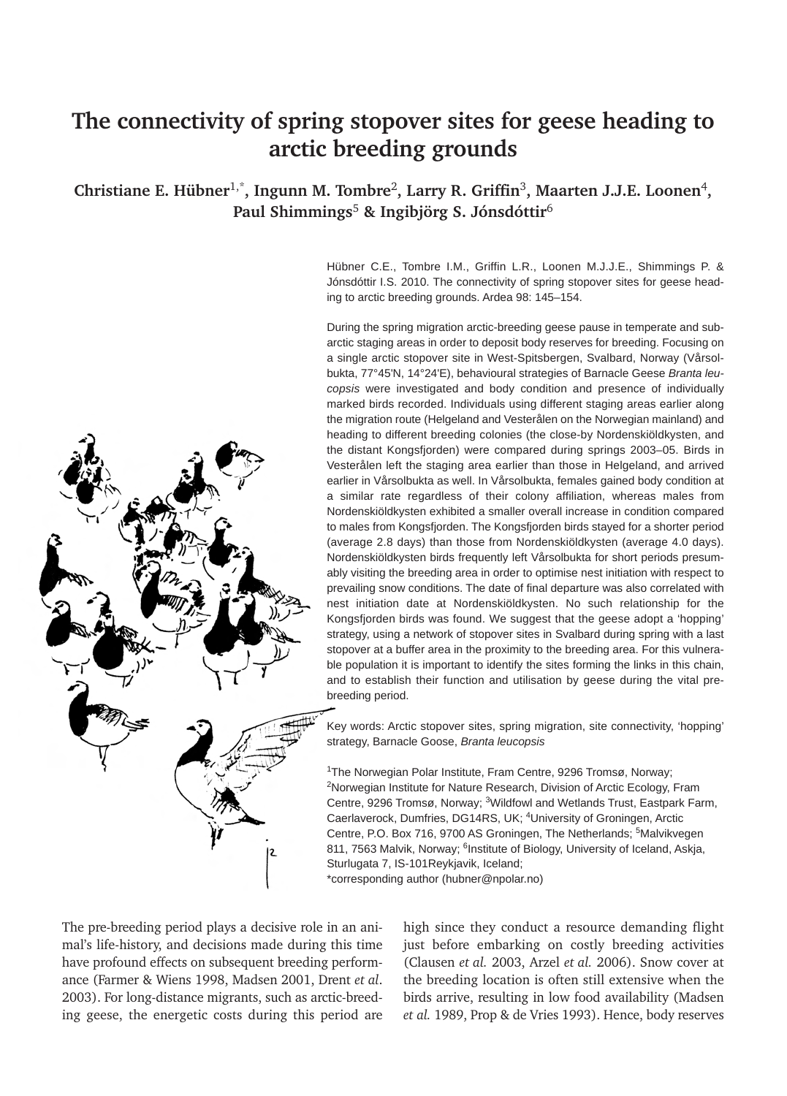# **The connectivity of spring stopover sites for geese heading to arctic breeding grounds**

**Christiane E. Hübner**1,\***, Ingunn M. Tombre**2**, Larry R. Griffin**3**, Maarten J.J.E. Loonen**4**, Paul Shimmings**<sup>5</sup> **& Ingibjörg S. Jónsdóttir**<sup>6</sup>



Hübner C.E., Tombre I.M., Griffin L.R., Loonen M.J.J.E., Shimmings P. & Jónsdóttir I.S. 2010. The connectivity of spring stopover sites for geese heading to arctic breeding grounds. Ardea 98: 145–154.

During the spring migration arctic-breeding geese pause in temperate and subarctic staging areas in order to deposit body reserves for breeding. Focusing on a single arctic stopover site in West-Spitsbergen, Svalbard, Norway (Vårsolbukta, 77°45'N, 14°24'E), behavioural strategies of Barnacle Geese *Branta leucopsis* were investigated and body condition and presence of individually marked birds recorded. Individuals using different staging areas earlier along the migration route (Helgeland and Vesterålen on the Norwegian mainland) and heading to different breeding colonies (the close-by Nordenskiöldkysten, and the distant Kongsfjorden) were compared during springs 2003–05. Birds in Vesterålen left the staging area earlier than those in Helgeland, and arrived earlier in Vårsolbukta as well. In Vårsolbukta, females gained body condition at a similar rate regardless of their colony affiliation, whereas males from Nordenskiöldkysten exhibited a smaller overall increase in condition compared to males from Kongsfjorden. The Kongsfjorden birds stayed for a shorter period (average 2.8 days) than those from Nordenskiöldkysten (average 4.0 days). Nordenskiöldkysten birds frequently left Vårsolbukta for short periods presumably visiting the breeding area in order to optimise nest initiation with respect to prevailing snow conditions. The date of final departure was also correlated with nest initiation date at Nordenskiöldkysten. No such relationship for the Kongsfjorden birds was found. We suggest that the geese adopt a 'hopping' strategy, using a network of stopover sites in Svalbard during spring with a last stopover at a buffer area in the proximity to the breeding area. For this vulnerable population it is important to identify the sites forming the links in this chain, and to establish their function and utilisation by geese during the vital prebreeding period.

Key words: Arctic stopover sites, spring migration, site connectivity, 'hopping' strategy, Barnacle Goose, *Branta leucopsis*

1The Norwegian Polar Institute, Fram Centre, 9296 Tromsø, Norway; 2Norwegian Institute for Nature Research, Division of Arctic Ecology, Fram Centre, 9296 Tromsø, Norway; 3Wildfowl and Wetlands Trust, Eastpark Farm, Caerlaverock, Dumfries, DG14RS, UK; 4University of Groningen, Arctic Centre, P.O. Box 716, 9700 AS Groningen, The Netherlands; <sup>5</sup>Malvikvegen 811, 7563 Malvik, Norway; <sup>6</sup>Institute of Biology, University of Iceland, Askja, Sturlugata 7, IS-101Reykjavik, Iceland; \*corresponding author (hubner@npolar.no)

The pre-breeding period plays a decisive role in an animal's life-history, and decisions made during this time have profound effects on subsequent breeding performance (Farmer & Wiens 1998, Madsen 2001, Drent *et al*. 2003). For long-distance migrants, such as arctic-breeding geese, the energetic costs during this period are high since they conduct a resource demanding flight just before embarking on costly breeding activities (Clausen *et al.* 2003, Arzel *et al.* 2006). Snow cover at the breeding location is often still extensive when the birds arrive, resulting in low food availability (Madsen *et al.* 1989, Prop & de Vries 1993). Hence, body reserves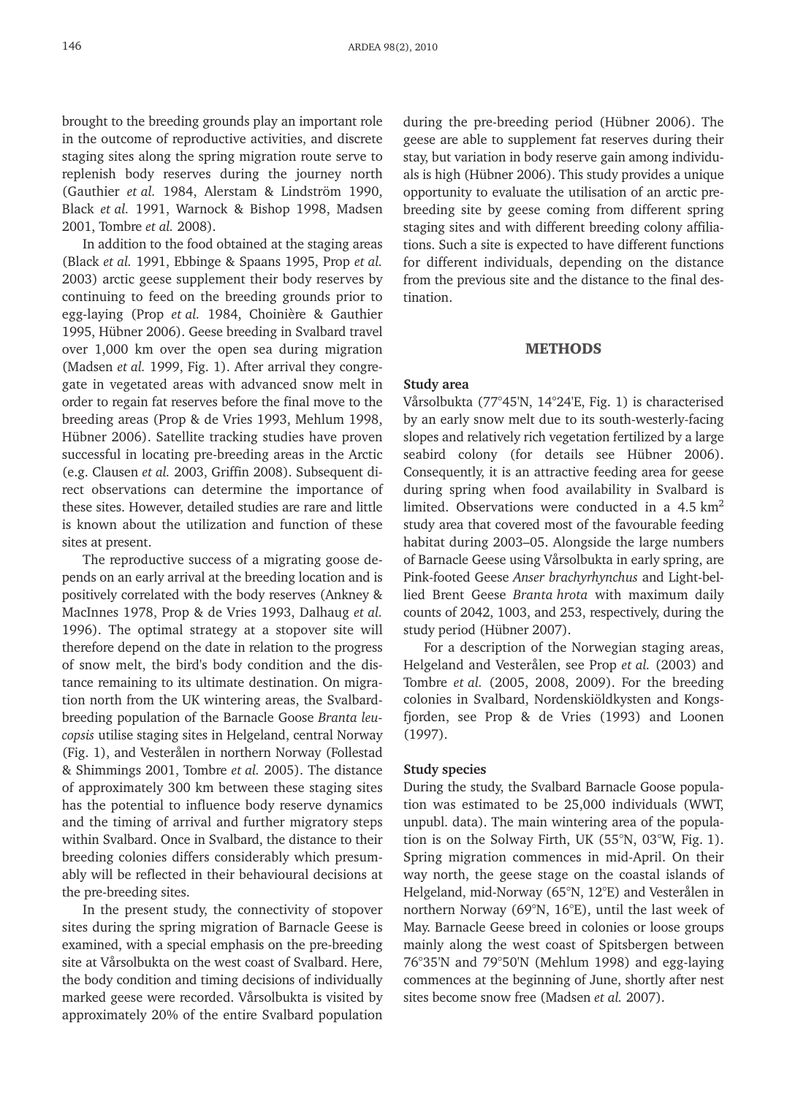brought to the breeding grounds play an important role in the outcome of reproductive activities, and discrete staging sites along the spring migration route serve to replenish body reserves during the journey north (Gauthier *et al.* 1984, Alerstam & Lindström 1990, Black *et al.* 1991, Warnock & Bishop 1998, Madsen 2001, Tombre *et al.* 2008).

In addition to the food obtained at the staging areas (Black *et al.* 1991, Ebbinge & Spaans 1995, Prop *et al.* 2003) arctic geese supplement their body reserves by continuing to feed on the breeding grounds prior to egg-laying (Prop *et al.* 1984, Choinière & Gauthier 1995, Hübner 2006). Geese breeding in Svalbard travel over 1,000 km over the open sea during migration (Madsen *et al.* 1999, Fig. 1). After arrival they congregate in vegetated areas with advanced snow melt in order to regain fat reserves before the final move to the breeding areas (Prop & de Vries 1993, Mehlum 1998, Hübner 2006). Satellite tracking studies have proven successful in locating pre-breeding areas in the Arctic (e.g. Clausen *et al.* 2003, Griffin 2008). Subsequent direct observations can determine the importance of these sites. However, detailed studies are rare and little is known about the utilization and function of these sites at present.

The reproductive success of a migrating goose depends on an early arrival at the breeding location and is positively correlated with the body reserves (Ankney & MacInnes 1978, Prop & de Vries 1993, Dalhaug *et al.* 1996). The optimal strategy at a stopover site will therefore depend on the date in relation to the progress of snow melt, the bird's body condition and the distance remaining to its ultimate destination. On migration north from the UK wintering areas, the Svalbardbreeding population of the Barnacle Goose *Branta leucopsis* utilise staging sites in Helgeland, central Norway (Fig. 1), and Vesterålen in northern Norway (Follestad & Shimmings 2001, Tombre *et al.* 2005). The distance of approximately 300 km between these staging sites has the potential to influence body reserve dynamics and the timing of arrival and further migratory steps within Svalbard. Once in Svalbard, the distance to their breeding colonies differs considerably which presumably will be reflected in their behavioural decisions at the pre-breeding sites.

In the present study, the connectivity of stopover sites during the spring migration of Barnacle Geese is examined, with a special emphasis on the pre-breeding site at Vårsolbukta on the west coast of Svalbard. Here, the body condition and timing decisions of individually marked geese were recorded. Vårsolbukta is visited by approximately 20% of the entire Svalbard population during the pre-breeding period (Hübner 2006). The geese are able to supplement fat reserves during their stay, but variation in body reserve gain among individuals is high (Hübner 2006). This study provides a unique opportunity to evaluate the utilisation of an arctic prebreeding site by geese coming from different spring staging sites and with different breeding colony affiliations. Such a site is expected to have different functions for different individuals, depending on the distance from the previous site and the distance to the final destination.

# METHODS

#### **Study area**

Vårsolbukta (77°45'N, 14°24'E, Fig. 1) is characterised by an early snow melt due to its south-westerly-facing slopes and relatively rich vegetation fertilized by a large seabird colony (for details see Hübner 2006). Consequently, it is an attractive feeding area for geese during spring when food availability in Svalbard is limited. Observations were conducted in a  $4.5 \text{ km}^2$ study area that covered most of the favourable feeding habitat during 2003–05. Alongside the large numbers of Barnacle Geese using Vårsolbukta in early spring, are Pink-footed Geese *Anser brachyrhynchus* and Light-bellied Brent Geese *Branta hrota* with maximum daily counts of 2042, 1003, and 253, respectively, during the study period (Hübner 2007).

For a description of the Norwegian staging areas, Helgeland and Vesterålen, see Prop *et al.* (2003) and Tombre *et al.* (2005, 2008, 2009). For the breeding colonies in Svalbard, Nordenskiöldkysten and Kongsfjorden, see Prop & de Vries (1993) and Loonen (1997).

### **Study species**

During the study, the Svalbard Barnacle Goose population was estimated to be 25,000 individuals (WWT, unpubl. data). The main wintering area of the population is on the Solway Firth, UK (55°N, 03°W, Fig. 1). Spring migration commences in mid-April. On their way north, the geese stage on the coastal islands of Helgeland, mid-Norway (65°N, 12°E) and Vesterålen in northern Norway (69°N, 16°E), until the last week of May. Barnacle Geese breed in colonies or loose groups mainly along the west coast of Spitsbergen between 76°35'N and 79°50'N (Mehlum 1998) and egg-laying commences at the beginning of June, shortly after nest sites become snow free (Madsen *et al.* 2007).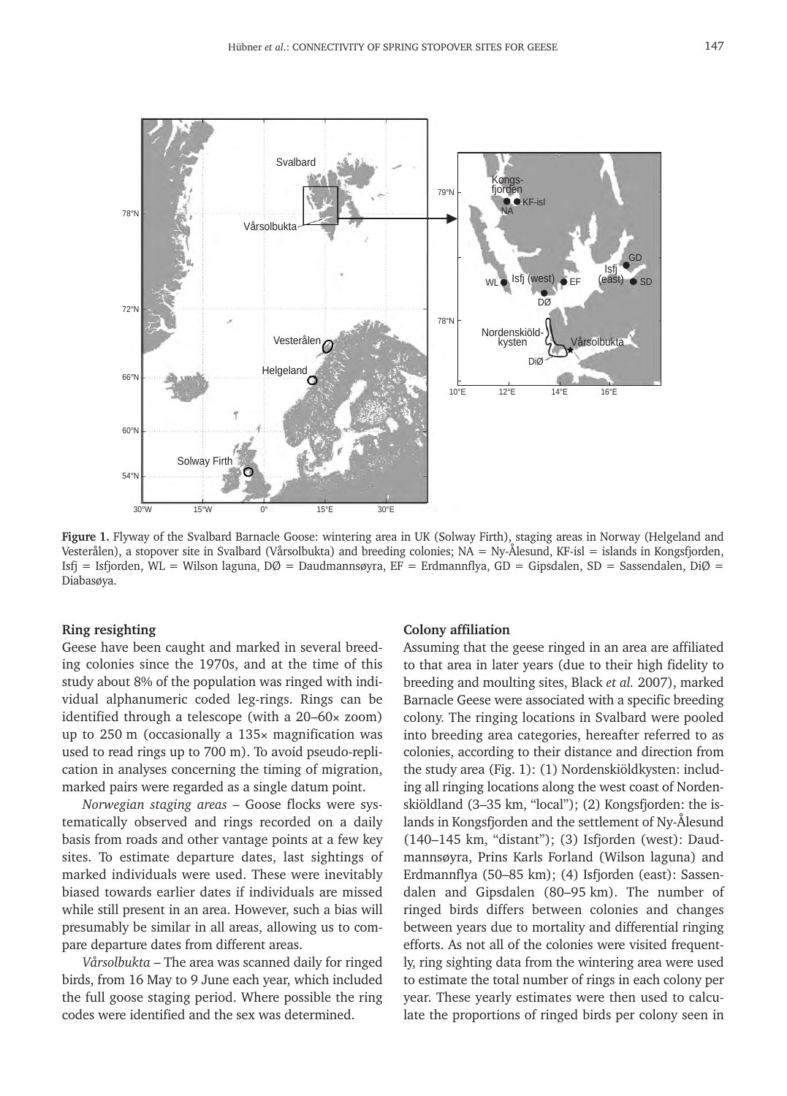

Figure 1. Flyway of the Svalbard Barnacle Goose: wintering area in UK (Solway Firth), staging areas in Norway (Helgeland and Vesterålen), a stopover site in Svalbard (Vårsolbukta) and breeding colonies; NA = Ny-Ålesund, KF-isl = islands in Kongsfjorden, Isfj = Isfjorden, WL = Wilson laguna, DØ = Daudmannsøyra, EF = Erdmannflya, GD = Gipsdalen, SD = Sassendalen, DiØ = Diabasøya.

#### **Ring resighting**

Geese have been caught and marked in several breeding colonies since the 1970s, and at the time of this study about 8% of the population was ringed with individual alphanumeric coded leg-rings. Rings can be identified through a telescope (with a 20–60× zoom) up to 250 m (occasionally a 135× magnification was used to read rings up to 700 m). To avoid pseudo-replication in analyses concerning the timing of migration, marked pairs were regarded as a single datum point.

*Norwegian staging areas* – Goose flocks were systematically observed and rings recorded on a daily basis from roads and other vantage points at a few key sites. To estimate departure dates, last sightings of marked individuals were used. These were inevitably biased towards earlier dates if individuals are missed while still present in an area. However, such a bias will presumably be similar in all areas, allowing us to compare departure dates from different areas.

*Vårsolbukta* – The area was scanned daily for ringed birds, from 16 May to 9 June each year, which included the full goose staging period. Where possible the ring codes were identified and the sex was determined.

# **Colony affiliation**

Assuming that the geese ringed in an area are affiliated to that area in later years (due to their high fidelity to breeding and moulting sites, Black *et al.* 2007), marked Barnacle Geese were associated with a specific breeding colony. The ringing locations in Svalbard were pooled into breeding area categories, hereafter referred to as colonies, according to their distance and direction from the study area (Fig. 1): (1) Nordenskiöldkysten: including all ringing locations along the west coast of Nordenskiöldland (3–35 km, "local"); (2) Kongsfjorden: the islands in Kongsfjorden and the settlement of Ny-Ålesund (140–145 km, "distant"); (3) Isfjorden (west): Daudmannsøyra, Prins Karls Forland (Wilson laguna) and Erdmannflya (50–85 km); (4) Isfjorden (east): Sassendalen and Gipsdalen (80–95 km). The number of ringed birds differs between colonies and changes between years due to mortality and differential ringing efforts. As not all of the colonies were visited frequently, ring sighting data from the wintering area were used to estimate the total number of rings in each colony per year. These yearly estimates were then used to calculate the proportions of ringed birds per colony seen in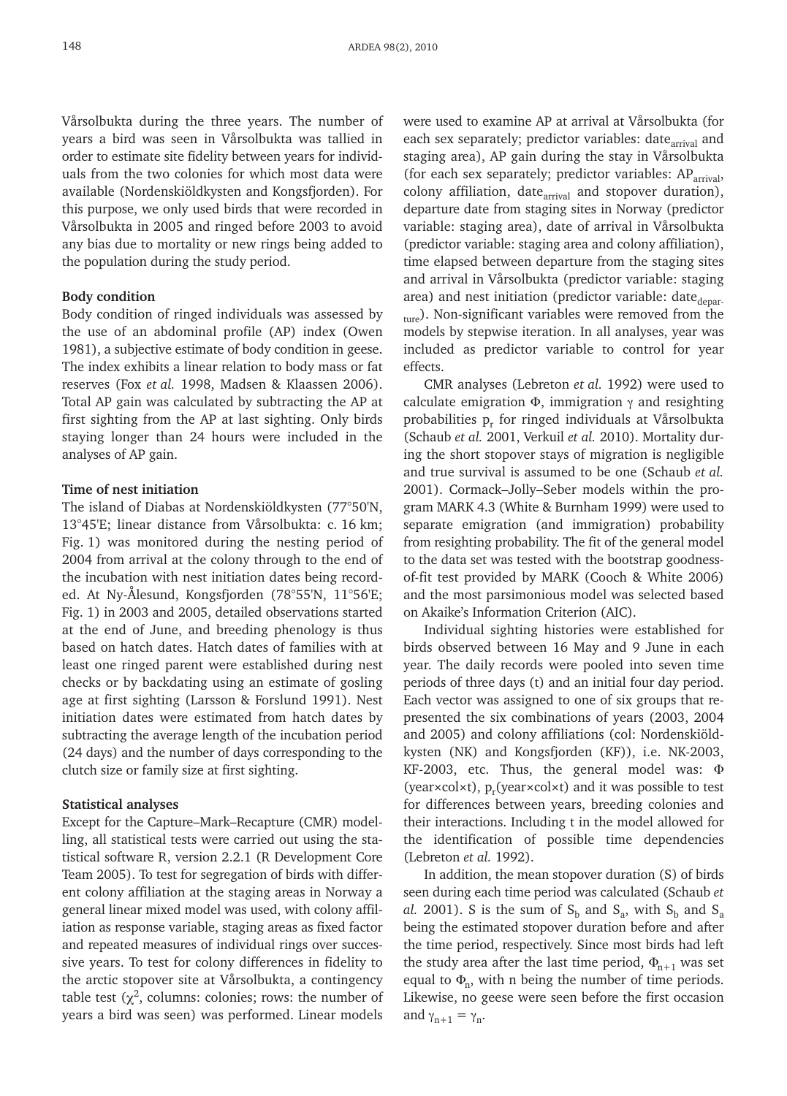Vårsolbukta during the three years. The number of years a bird was seen in Vårsolbukta was tallied in order to estimate site fidelity between years for individuals from the two colonies for which most data were available (Nordenskiöldkysten and Kongsfjorden). For this purpose, we only used birds that were recorded in Vårsolbukta in 2005 and ringed before 2003 to avoid any bias due to mortality or new rings being added to the population during the study period.

#### **Body condition**

Body condition of ringed individuals was assessed by the use of an abdominal profile (AP) index (Owen 1981), a subjective estimate of body condition in geese. The index exhibits a linear relation to body mass or fat reserves (Fox *et al.* 1998, Madsen & Klaassen 2006). Total AP gain was calculated by subtracting the AP at first sighting from the AP at last sighting. Only birds staying longer than 24 hours were included in the analyses of AP gain.

# **Time of nest initiation**

The island of Diabas at Nordenskiöldkysten (77°50'N, 13°45'E; linear distance from Vårsolbukta: c. 16 km; Fig. 1) was monitored during the nesting period of 2004 from arrival at the colony through to the end of the incubation with nest initiation dates being recorded. At Ny-Ålesund, Kongsfjorden (78°55'N, 11°56'E; Fig. 1) in 2003 and 2005, detailed observations started at the end of June, and breeding phenology is thus based on hatch dates. Hatch dates of families with at least one ringed parent were established during nest checks or by backdating using an estimate of gosling age at first sighting (Larsson & Forslund 1991). Nest initiation dates were estimated from hatch dates by subtracting the average length of the incubation period (24 days) and the number of days corresponding to the clutch size or family size at first sighting.

## **Statistical analyses**

Except for the Capture–Mark–Recapture (CMR) modelling, all statistical tests were carried out using the statistical software R, version 2.2.1 (R Development Core Team 2005). To test for segregation of birds with different colony affiliation at the staging areas in Norway a general linear mixed model was used, with colony affiliation as response variable, staging areas as fixed factor and repeated measures of individual rings over successive years. To test for colony differences in fidelity to the arctic stopover site at Vårsolbukta, a contingency table test  $(\chi^2)$ , columns: colonies; rows: the number of years a bird was seen) was performed. Linear models were used to examine AP at arrival at Vårsolbukta (for each sex separately; predictor variables: date<sub>arrival</sub> and staging area), AP gain during the stay in Vårsolbukta (for each sex separately; predictor variables:  $AP_{\text{arrival}}$ , colony affiliation, date<sub>arrival</sub> and stopover duration), departure date from staging sites in Norway (predictor variable: staging area), date of arrival in Vårsolbukta (predictor variable: staging area and colony affiliation), time elapsed between departure from the staging sites and arrival in Vårsolbukta (predictor variable: staging area) and nest initiation (predictor variable: date  $_{\text{depar}}$ . <sub>ture</sub>). Non-significant variables were removed from the models by stepwise iteration. In all analyses, year was included as predictor variable to control for year effects.

CMR analyses (Lebreton *et al.* 1992) were used to calculate emigration  $\Phi$ , immigration  $\gamma$  and resighting probabilities  $p_r$  for ringed individuals at Vårsolbukta (Schaub *et al.* 2001, Verkuil *et al.* 2010). Mortality during the short stopover stays of migration is negligible and true survival is assumed to be one (Schaub *et al.* 2001). Cormack–Jolly–Seber models within the program MARK 4.3 (White & Burnham 1999) were used to separate emigration (and immigration) probability from resighting probability. The fit of the general model to the data set was tested with the bootstrap goodnessof-fit test provided by MARK (Cooch & White 2006) and the most parsimonious model was selected based on Akaike's Information Criterion (AIC).

Individual sighting histories were established for birds observed between 16 May and 9 June in each year. The daily records were pooled into seven time periods of three days (t) and an initial four day period. Each vector was assigned to one of six groups that represented the six combinations of years (2003, 2004 and 2005) and colony affiliations (col: Nordenskiöldkysten (NK) and Kongsfjorden (KF)), i.e. NK-2003, KF-2003, etc. Thus, the general model was: Φ (year×col×t),  $p_r$ (year×col×t) and it was possible to test for differences between years, breeding colonies and their interactions. Including t in the model allowed for the identification of possible time dependencies (Lebreton *et al.* 1992).

In addition, the mean stopover duration (S) of birds seen during each time period was calculated (Schaub *et al.* 2001). S is the sum of  $S_b$  and  $S_a$ , with  $S_b$  and  $S_a$ being the estimated stopover duration before and after the time period, respectively. Since most birds had left the study area after the last time period,  $\Phi_{n+1}$  was set equal to  $\Phi_{\rm n}$ , with n being the number of time periods. Likewise, no geese were seen before the first occasion and  $\gamma_{n+1} = \gamma_n$ .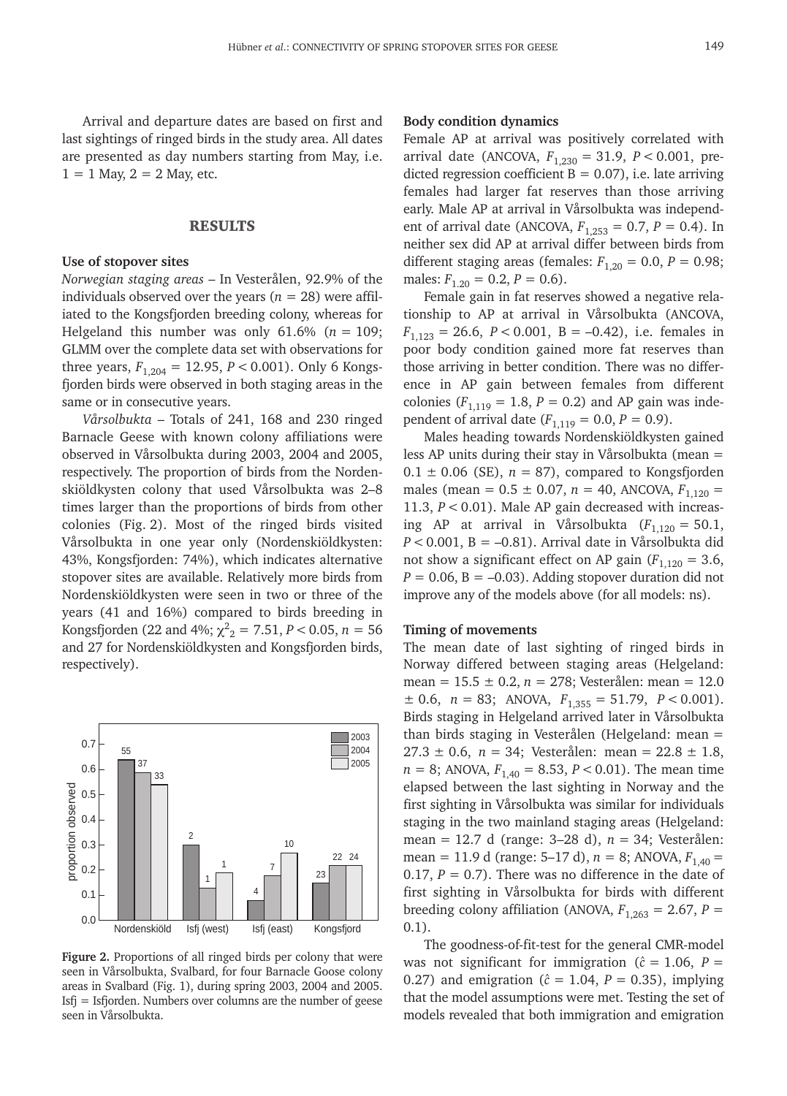Arrival and departure dates are based on first and last sightings of ringed birds in the study area. All dates are presented as day numbers starting from May, i.e.  $1 = 1$  May,  $2 = 2$  May, etc.

## RESULTS

#### **Use of stopover sites**

*Norwegian staging areas* – In Vesterålen, 92.9% of the individuals observed over the years ( $n = 28$ ) were affiliated to the Kongsfjorden breeding colony, whereas for Helgeland this number was only  $61.6\%$  ( $n = 109$ ; GLMM over the complete data set with observations for three years,  $F_{1,204} = 12.95$ ,  $P < 0.001$ ). Only 6 Kongsfjorden birds were observed in both staging areas in the same or in consecutive years.

*Vårsolbukta* – Totals of 241, 168 and 230 ringed Barnacle Geese with known colony affiliations were observed in Vårsolbukta during 2003, 2004 and 2005, respectively. The proportion of birds from the Nordenskiöldkysten colony that used Vårsolbukta was 2–8 times larger than the proportions of birds from other colonies (Fig. 2). Most of the ringed birds visited Vårsolbukta in one year only (Nordenskiöldkysten: 43%, Kongsfjorden: 74%), which indicates alternative stopover sites are available. Relatively more birds from Nordenskiöldkysten were seen in two or three of the years (41 and 16%) compared to birds breeding in Kongsfjorden (22 and 4%;  $\chi^2_{2} = 7.51, P < 0.05, n = 56$ and 27 for Nordenskiöldkysten and Kongsfjorden birds, respectively).



**Figure 2.** Proportions of all ringed birds per colony that were seen in Vårsolbukta, Svalbard, for four Barnacle Goose colony areas in Svalbard (Fig. 1), during spring 2003, 2004 and 2005. Isfj = Isfjorden. Numbers over columns are the number of geese seen in Vårsolbukta.

# **Body condition dynamics**

Female AP at arrival was positively correlated with arrival date (ANCOVA,  $F_{1,230} = 31.9$ ,  $P < 0.001$ , predicted regression coefficient  $B = 0.07$ ), i.e. late arriving females had larger fat reserves than those arriving early. Male AP at arrival in Vårsolbukta was independent of arrival date (ANCOVA,  $F_{1,253} = 0.7$ ,  $P = 0.4$ ). In neither sex did AP at arrival differ between birds from different staging areas (females:  $F_{1,20} = 0.0$ ,  $P = 0.98$ ; males:  $F_{1,20} = 0.2, P = 0.6$ .

Female gain in fat reserves showed a negative relationship to AP at arrival in Vårsolbukta (ANCOVA,  $F_{1,123} = 26.6, P < 0.001, B = -0.42$ , i.e. females in poor body condition gained more fat reserves than those arriving in better condition. There was no difference in AP gain between females from different colonies ( $F_{1,119} = 1.8, P = 0.2$ ) and AP gain was independent of arrival date  $(F_{1,119} = 0.0, P = 0.9)$ .

Males heading towards Nordenskiöldkysten gained less AP units during their stay in Vårsolbukta (mean =  $0.1 \pm 0.06$  (SE),  $n = 87$ ), compared to Kongsfjorden males (mean =  $0.5 \pm 0.07$ ,  $n = 40$ , ANCOVA,  $F_{1,120} =$ 11.3, *P* < 0.01). Male AP gain decreased with increasing AP at arrival in Vårsolbukta  $(F_{1,120} = 50.1,$  $P < 0.001$ ,  $B = -0.81$ ). Arrival date in Vårsolbukta did not show a significant effect on AP gain  $(F_{1,120} = 3.6,$  $P = 0.06$ ,  $B = -0.03$ . Adding stopover duration did not improve any of the models above (for all models: ns).

#### **Timing of movements**

The mean date of last sighting of ringed birds in Norway differed between staging areas (Helgeland: mean = 15.5 ± 0.2, *n* = 278; Vesterålen: mean = 12.0  $\pm$  0.6, *n* = 83; ANOVA,  $F_{1,355}$  = 51.79, *P* < 0.001). Birds staging in Helgeland arrived later in Vårsolbukta than birds staging in Vesterålen (Helgeland: mean =  $27.3 \pm 0.6$ ,  $n = 34$ ; Vesterålen: mean =  $22.8 \pm 1.8$ ,  $n = 8$ ; ANOVA,  $F_{1,40} = 8.53$ ,  $P < 0.01$ ). The mean time elapsed between the last sighting in Norway and the first sighting in Vårsolbukta was similar for individuals staging in the two mainland staging areas (Helgeland: mean = 12.7 d (range: 3–28 d), *n* = 34; Vesterålen: mean = 11.9 d (range: 5–17 d),  $n = 8$ ; ANOVA,  $F_{1,40} =$ 0.17,  $P = 0.7$ ). There was no difference in the date of first sighting in Vårsolbukta for birds with different breeding colony affiliation (ANOVA,  $F_{1,263} = 2.67$ ,  $P =$ 0.1).

The goodness-of-fit-test for the general CMR-model was not significant for immigration ( $\hat{c} = 1.06$ ,  $P =$ 0.27) and emigration ( $\hat{c} = 1.04$ ,  $P = 0.35$ ), implying that the model assumptions were met. Testing the set of models revealed that both immigration and emigration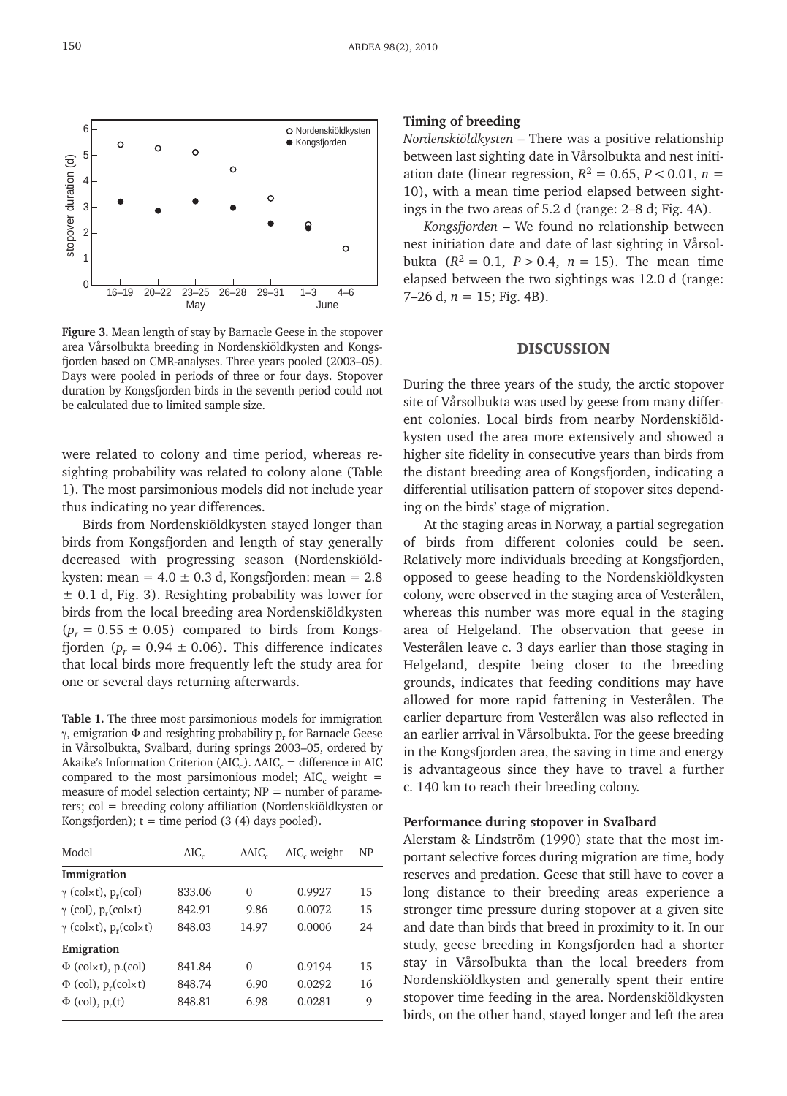

**Figure 3.** Mean length of stay by Barnacle Geese in the stopover area Vårsolbukta breeding in Nordenskiöldkysten and Kongsfjorden based on CMR-analyses. Three years pooled (2003–05). Days were pooled in periods of three or four days. Stopover duration by Kongsfjorden birds in the seventh period could not be calculated due to limited sample size.

were related to colony and time period, whereas resighting probability was related to colony alone (Table 1). The most parsimonious models did not include year thus indicating no year differences.

Birds from Nordenskiöldkysten stayed longer than birds from Kongsfjorden and length of stay generally decreased with progressing season (Nordenskiöldkysten: mean =  $4.0 \pm 0.3$  d, Kongsfjorden: mean =  $2.8$  $\pm$  0.1 d, Fig. 3). Resighting probability was lower for birds from the local breeding area Nordenskiöldkysten  $(p_r = 0.55 \pm 0.05)$  compared to birds from Kongsfjorden ( $p_r = 0.94 \pm 0.06$ ). This difference indicates that local birds more frequently left the study area for one or several days returning afterwards.

**Table 1.** The three most parsimonious models for immigration γ, emigration  $Φ$  and resighting probability p<sub>r</sub> for Barnacle Geese in Vårsolbukta, Svalbard, during springs 2003–05, ordered by Akaike's Information Criterion (AIC<sub>c</sub>).  $\Delta AIC_c =$  difference in AIC compared to the most parsimonious model; AIC<sub>c</sub> weight = measure of model selection certainty;  $NP =$  number of parameters; col = breeding colony affiliation (Nordenskiöldkysten or Kongsfjorden);  $t =$  time period (3 (4) days pooled).

| Model                                                      | $AIC_{c}$ | $\Delta AIC_c$ | AIC, weight | NP |
|------------------------------------------------------------|-----------|----------------|-------------|----|
| Immigration                                                |           |                |             |    |
| $\gamma$ (col $\times$ t), p <sub>r</sub> (col)            | 833.06    | 0              | 0.9927      | 15 |
| $\gamma$ (col), $p_r$ (col $\times$ t)                     | 842.91    | 9.86           | 0.0072      | 15 |
| $\gamma$ (col $\times$ t), p <sub>r</sub> (col $\times$ t) | 848.03    | 14.97          | 0.0006      | 24 |
| Emigration                                                 |           |                |             |    |
| $\Phi$ (col $\times$ t), p <sub>r</sub> (col)              | 841.84    | 0              | 0.9194      | 15 |
| $\Phi$ (col), p <sub>r</sub> (colxt)                       | 848.74    | 6.90           | 0.0292      | 16 |
| $\Phi$ (col), $p_r(t)$                                     | 848.81    | 6.98           | 0.0281      | 9  |

## **Timing of breeding**

*Nordenskiöldkysten* – There was a positive relationship between last sighting date in Vårsolbukta and nest initiation date (linear regression,  $R^2 = 0.65$ ,  $P < 0.01$ ,  $n =$ 10), with a mean time period elapsed between sightings in the two areas of 5.2 d (range: 2–8 d; Fig. 4A).

*Kongsfjorden* – We found no relationship between nest initiation date and date of last sighting in Vårsolbukta  $(R^2 = 0.1, P > 0.4, n = 15)$ . The mean time elapsed between the two sightings was 12.0 d (range: 7–26 d,  $n = 15$ ; Fig. 4B).

# DISCUSSION

During the three years of the study, the arctic stopover site of Vårsolbukta was used by geese from many different colonies. Local birds from nearby Nordenskiöldkysten used the area more extensively and showed a higher site fidelity in consecutive years than birds from the distant breeding area of Kongsfjorden, indicating a differential utilisation pattern of stopover sites depending on the birds' stage of migration.

At the staging areas in Norway, a partial segregation of birds from different colonies could be seen. Relatively more individuals breeding at Kongsfjorden, opposed to geese heading to the Nordenskiöldkysten colony, were observed in the staging area of Vesterålen, whereas this number was more equal in the staging area of Helgeland. The observation that geese in Vesterålen leave c. 3 days earlier than those staging in Helgeland, despite being closer to the breeding grounds, indicates that feeding conditions may have allowed for more rapid fattening in Vesterålen. The earlier departure from Vesterålen was also reflected in an earlier arrival in Vårsolbukta. For the geese breeding in the Kongsfjorden area, the saving in time and energy is advantageous since they have to travel a further c. 140 km to reach their breeding colony.

#### **Performance during stopover in Svalbard**

Alerstam & Lindström (1990) state that the most important selective forces during migration are time, body reserves and predation. Geese that still have to cover a long distance to their breeding areas experience a stronger time pressure during stopover at a given site and date than birds that breed in proximity to it. In our study, geese breeding in Kongsfjorden had a shorter stay in Vårsolbukta than the local breeders from Nordenskiöldkysten and generally spent their entire stopover time feeding in the area. Nordenskiöldkysten birds, on the other hand, stayed longer and left the area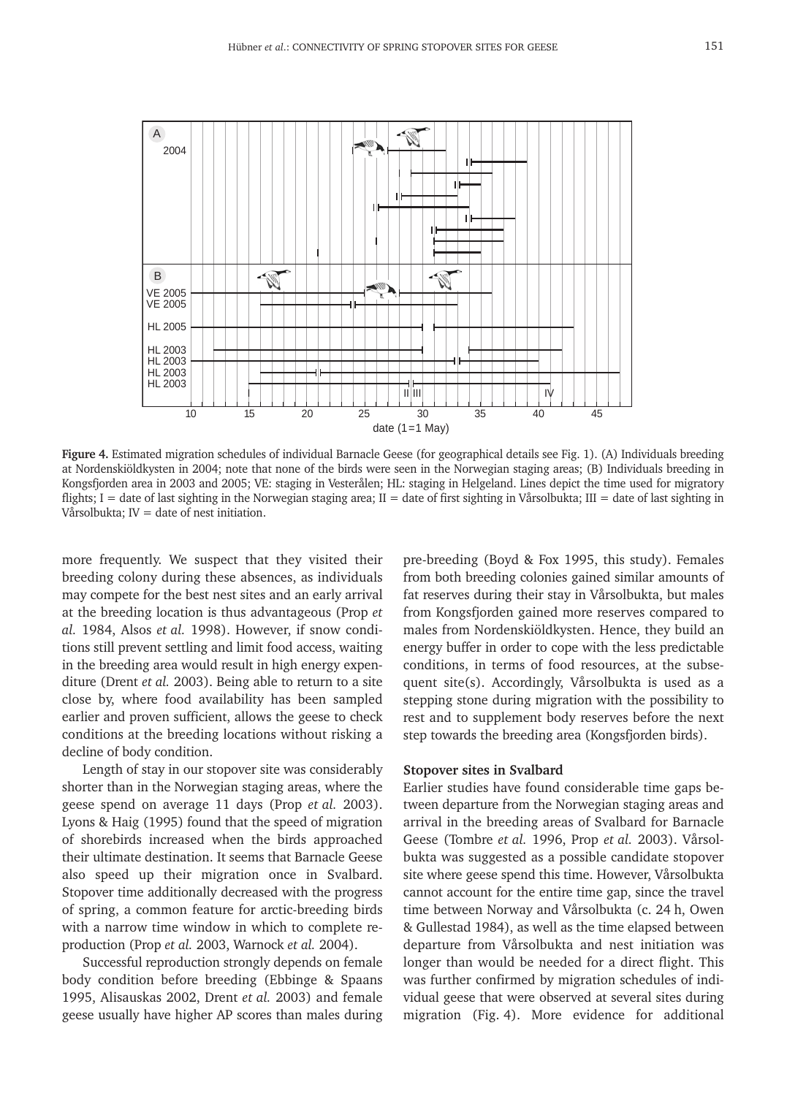

Figure 4. Estimated migration schedules of individual Barnacle Geese (for geographical details see Fig. 1). (A) Individuals breeding at Nordenskiöldkysten in 2004; note that none of the birds were seen in the Norwegian staging areas; (B) Individuals breeding in Kongsfjorden area in 2003 and 2005; VE: staging in Vesterålen; HL: staging in Helgeland. Lines depict the time used for migratory flights; I = date of last sighting in the Norwegian staging area; II = date of first sighting in Vårsolbukta; III = date of last sighting in Vårsolbukta;  $IV =$  date of nest initiation.

more frequently. We suspect that they visited their breeding colony during these absences, as individuals may compete for the best nest sites and an early arrival at the breeding location is thus advantageous (Prop *et al.* 1984, Alsos *et al.* 1998). However, if snow conditions still prevent settling and limit food access, waiting in the breeding area would result in high energy expenditure (Drent *et al.* 2003). Being able to return to a site close by, where food availability has been sampled earlier and proven sufficient, allows the geese to check conditions at the breeding locations without risking a decline of body condition.

Length of stay in our stopover site was considerably shorter than in the Norwegian staging areas, where the geese spend on average 11 days (Prop *et al.* 2003). Lyons & Haig (1995) found that the speed of migration of shorebirds increased when the birds approached their ultimate destination. It seems that Barnacle Geese also speed up their migration once in Svalbard. Stopover time additionally decreased with the progress of spring, a common feature for arctic-breeding birds with a narrow time window in which to complete reproduction (Prop *et al.* 2003, Warnock *et al.* 2004).

Successful reproduction strongly depends on female body condition before breeding (Ebbinge & Spaans 1995, Alisauskas 2002, Drent *et al.* 2003) and female geese usually have higher AP scores than males during pre-breeding (Boyd & Fox 1995, this study). Females from both breeding colonies gained similar amounts of fat reserves during their stay in Vårsolbukta, but males from Kongsfjorden gained more reserves compared to males from Nordenskiöldkysten. Hence, they build an energy buffer in order to cope with the less predictable conditions, in terms of food resources, at the subsequent site(s). Accordingly, Vårsolbukta is used as a stepping stone during migration with the possibility to rest and to supplement body reserves before the next step towards the breeding area (Kongsfjorden birds).

## **Stopover sites in Svalbard**

Earlier studies have found considerable time gaps between departure from the Norwegian staging areas and arrival in the breeding areas of Svalbard for Barnacle Geese (Tombre *et al.* 1996, Prop *et al.* 2003). Vårsolbukta was suggested as a possible candidate stopover site where geese spend this time. However, Vårsolbukta cannot account for the entire time gap, since the travel time between Norway and Vårsolbukta (c. 24 h, Owen & Gullestad 1984), as well as the time elapsed between departure from Vårsolbukta and nest initiation was longer than would be needed for a direct flight. This was further confirmed by migration schedules of individual geese that were observed at several sites during migration (Fig. 4). More evidence for additional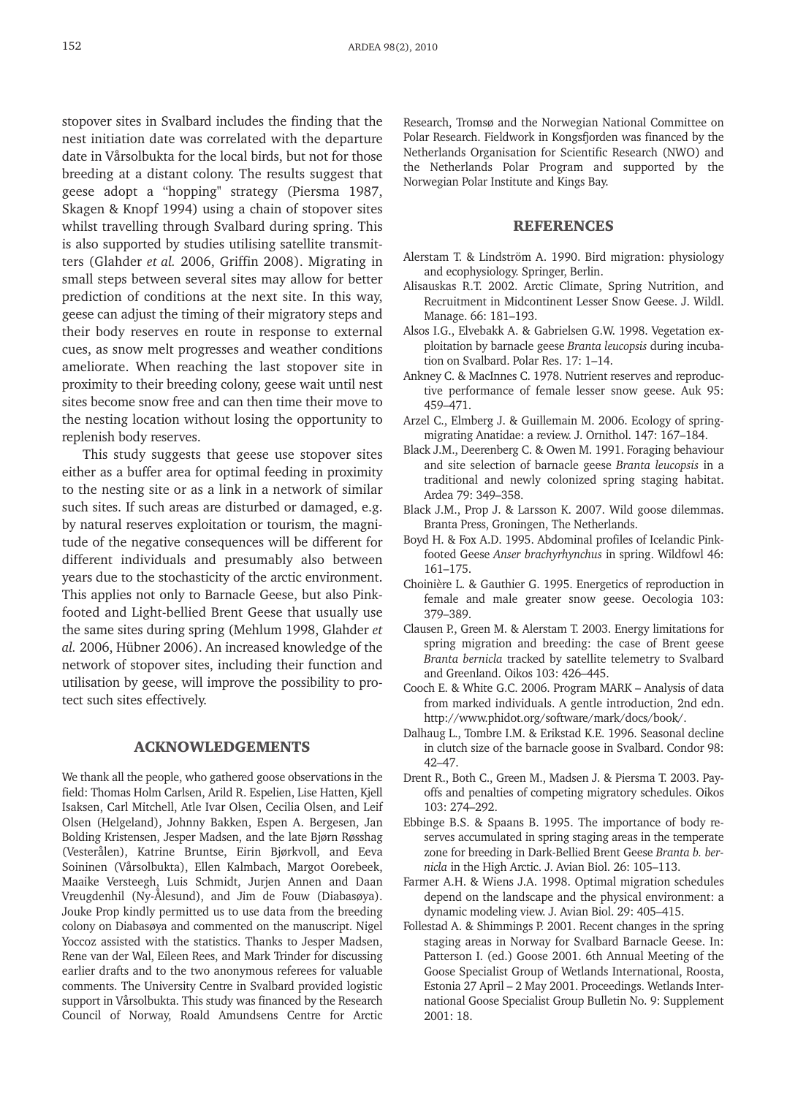stopover sites in Svalbard includes the finding that the nest initiation date was correlated with the departure date in Vårsolbukta for the local birds, but not for those breeding at a distant colony. The results suggest that geese adopt a "hopping" strategy (Piersma 1987, Skagen & Knopf 1994) using a chain of stopover sites whilst travelling through Svalbard during spring. This is also supported by studies utilising satellite transmitters (Glahder *et al.* 2006, Griffin 2008). Migrating in small steps between several sites may allow for better prediction of conditions at the next site. In this way, geese can adjust the timing of their migratory steps and their body reserves en route in response to external cues, as snow melt progresses and weather conditions ameliorate. When reaching the last stopover site in proximity to their breeding colony, geese wait until nest sites become snow free and can then time their move to the nesting location without losing the opportunity to replenish body reserves.

This study suggests that geese use stopover sites either as a buffer area for optimal feeding in proximity to the nesting site or as a link in a network of similar such sites. If such areas are disturbed or damaged, e.g. by natural reserves exploitation or tourism, the magnitude of the negative consequences will be different for different individuals and presumably also between years due to the stochasticity of the arctic environment. This applies not only to Barnacle Geese, but also Pinkfooted and Light-bellied Brent Geese that usually use the same sites during spring (Mehlum 1998, Glahder *et al.* 2006, Hübner 2006). An increased knowledge of the network of stopover sites, including their function and utilisation by geese, will improve the possibility to protect such sites effectively.

# ACKNOWLEDGEMENTS

We thank all the people, who gathered goose observations in the field: Thomas Holm Carlsen, Arild R. Espelien, Lise Hatten, Kjell Isaksen, Carl Mitchell, Atle Ivar Olsen, Cecilia Olsen, and Leif Olsen (Helgeland), Johnny Bakken, Espen A. Bergesen, Jan Bolding Kristensen, Jesper Madsen, and the late Bjørn Røsshag (Vesterålen), Katrine Bruntse, Eirin Bjørkvoll, and Eeva Soininen (Vårsolbukta), Ellen Kalmbach, Margot Oorebeek, Maaike Versteegh, Luis Schmidt, Jurjen Annen and Daan Vreugdenhil (Ny-Ålesund), and Jim de Fouw (Diabasøya). Jouke Prop kindly permitted us to use data from the breeding colony on Diabasøya and commented on the manuscript. Nigel Yoccoz assisted with the statistics. Thanks to Jesper Madsen, Rene van der Wal, Eileen Rees, and Mark Trinder for discussing earlier drafts and to the two anonymous referees for valuable comments. The University Centre in Svalbard provided logistic support in Vårsolbukta. This study was financed by the Research Council of Norway, Roald Amundsens Centre for Arctic Research, Tromsø and the Norwegian National Committee on Polar Research. Fieldwork in Kongsfjorden was financed by the Netherlands Organisation for Scientific Research (NWO) and the Netherlands Polar Program and supported by the Norwegian Polar Institute and Kings Bay.

## **REFERENCES**

- Alerstam T. & Lindström A. 1990. Bird migration: physiology and ecophysiology. Springer, Berlin.
- Alisauskas R.T. 2002. Arctic Climate, Spring Nutrition, and Recruitment in Midcontinent Lesser Snow Geese. J. Wildl. Manage. 66: 181–193.
- Alsos I.G., Elvebakk A. & Gabrielsen G.W. 1998. Vegetation exploitation by barnacle geese *Branta leucopsis* during incubation on Svalbard. Polar Res. 17: 1–14.
- Ankney C. & MacInnes C. 1978. Nutrient reserves and reproductive performance of female lesser snow geese. Auk 95: 459–471.
- Arzel C., Elmberg J. & Guillemain M. 2006. Ecology of springmigrating Anatidae: a review. J. Ornithol. 147: 167–184.
- Black J.M., Deerenberg C. & Owen M. 1991. Foraging behaviour and site selection of barnacle geese *Branta leucopsis* in a traditional and newly colonized spring staging habitat. Ardea 79: 349–358.
- Black J.M., Prop J. & Larsson K. 2007. Wild goose dilemmas. Branta Press, Groningen, The Netherlands.
- Boyd H. & Fox A.D. 1995. Abdominal profiles of Icelandic Pinkfooted Geese *Anser brachyrhynchus* in spring. Wildfowl 46: 161–175.
- Choinière L. & Gauthier G. 1995. Energetics of reproduction in female and male greater snow geese. Oecologia 103: 379–389.
- Clausen P., Green M. & Alerstam T. 2003. Energy limitations for spring migration and breeding: the case of Brent geese *Branta bernicla* tracked by satellite telemetry to Svalbard and Greenland. Oikos 103: 426–445.
- Cooch E. & White G.C. 2006. Program MARK Analysis of data from marked individuals. A gentle introduction, 2nd edn. http://www.phidot.org/software/mark/docs/book/.
- Dalhaug L., Tombre I.M. & Erikstad K.E. 1996. Seasonal decline in clutch size of the barnacle goose in Svalbard. Condor 98: 42–47.
- Drent R., Both C., Green M., Madsen J. & Piersma T. 2003. Payoffs and penalties of competing migratory schedules. Oikos 103: 274–292.
- Ebbinge B.S. & Spaans B. 1995. The importance of body reserves accumulated in spring staging areas in the temperate zone for breeding in Dark-Bellied Brent Geese *Branta b. bernicla* in the High Arctic. J. Avian Biol. 26: 105–113.
- Farmer A.H. & Wiens J.A. 1998. Optimal migration schedules depend on the landscape and the physical environment: a dynamic modeling view. J. Avian Biol. 29: 405–415.
- Follestad A. & Shimmings P. 2001. Recent changes in the spring staging areas in Norway for Svalbard Barnacle Geese. In: Patterson I. (ed.) Goose 2001. 6th Annual Meeting of the Goose Specialist Group of Wetlands International, Roosta, Estonia 27 April – 2 May 2001. Proceedings. Wetlands International Goose Specialist Group Bulletin No. 9: Supplement 2001: 18.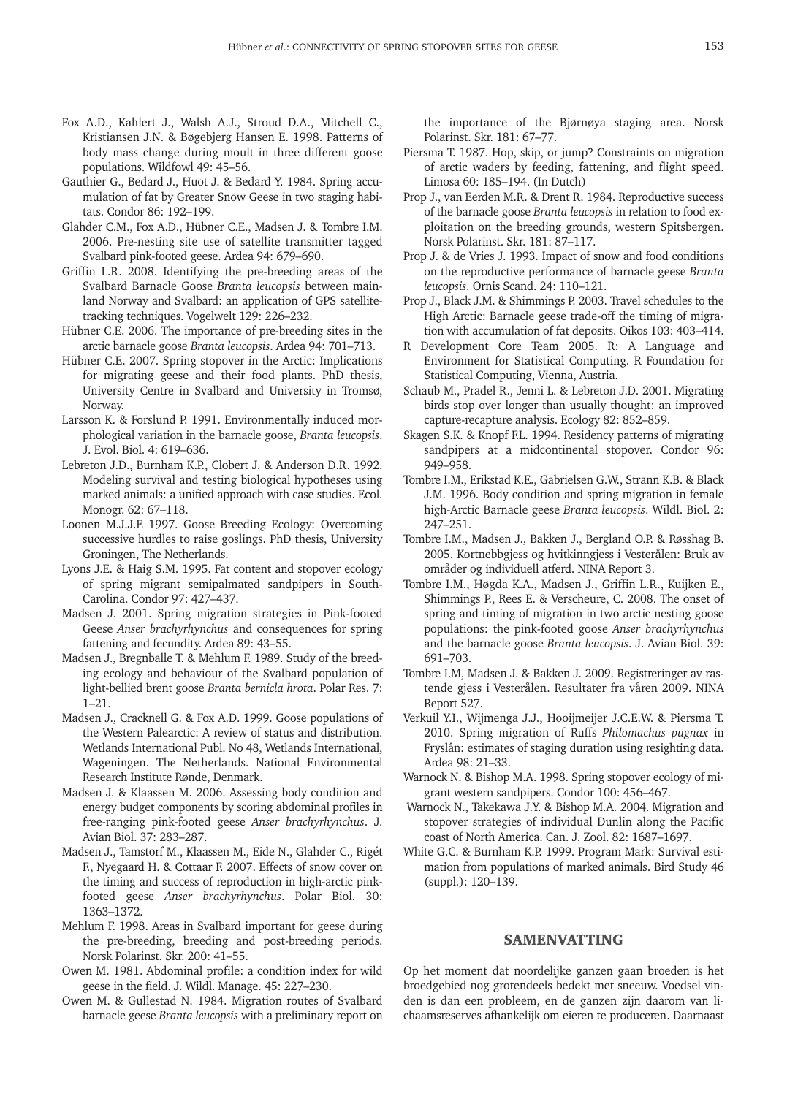- Fox A.D., Kahlert J., Walsh A.J., Stroud D.A., Mitchell C., Kristiansen J.N. & Bøgebjerg Hansen E. 1998. Patterns of body mass change during moult in three different goose populations. Wildfowl 49: 45–56.
- Gauthier G., Bedard J., Huot J. & Bedard Y. 1984. Spring accumulation of fat by Greater Snow Geese in two staging habitats. Condor 86: 192–199.
- Glahder C.M., Fox A.D., Hübner C.E., Madsen J. & Tombre I.M. 2006. Pre-nesting site use of satellite transmitter tagged Svalbard pink-footed geese. Ardea 94: 679–690.
- Griffin L.R. 2008. Identifying the pre-breeding areas of the Svalbard Barnacle Goose *Branta leucopsis* between mainland Norway and Svalbard: an application of GPS satellitetracking techniques. Vogelwelt 129: 226–232.
- Hübner C.E. 2006. The importance of pre-breeding sites in the arctic barnacle goose *Branta leucopsis*. Ardea 94: 701–713.
- Hübner C.E. 2007. Spring stopover in the Arctic: Implications for migrating geese and their food plants. PhD thesis, University Centre in Svalbard and University in Tromsø, Norway.
- Larsson K. & Forslund P. 1991. Environmentally induced morphological variation in the barnacle goose, *Branta leucopsis*. J. Evol. Biol. 4: 619–636.
- Lebreton J.D., Burnham K.P., Clobert J. & Anderson D.R. 1992. Modeling survival and testing biological hypotheses using marked animals: a unified approach with case studies. Ecol. Monogr. 62: 67–118.
- Loonen M.J.J.E 1997. Goose Breeding Ecology: Overcoming successive hurdles to raise goslings. PhD thesis, University Groningen, The Netherlands.
- Lyons J.E. & Haig S.M. 1995. Fat content and stopover ecology of spring migrant semipalmated sandpipers in South-Carolina. Condor 97: 427–437.
- Madsen J. 2001. Spring migration strategies in Pink-footed Geese *Anser brachyrhynchus* and consequences for spring fattening and fecundity. Ardea 89: 43–55.
- Madsen J., Bregnballe T. & Mehlum F. 1989. Study of the breeding ecology and behaviour of the Svalbard population of light-bellied brent goose *Branta bernicla hrota*. Polar Res. 7: 1–21.
- Madsen J., Cracknell G. & Fox A.D. 1999. Goose populations of the Western Palearctic: A review of status and distribution. Wetlands International Publ. No 48, Wetlands International, Wageningen. The Netherlands. National Environmental Research Institute Rønde, Denmark.
- Madsen J. & Klaassen M. 2006. Assessing body condition and energy budget components by scoring abdominal profiles in free-ranging pink-footed geese *Anser brachyrhynchus*. J. Avian Biol. 37: 283–287.
- Madsen J., Tamstorf M., Klaassen M., Eide N., Glahder C., Rigét F., Nyegaard H. & Cottaar F. 2007. Effects of snow cover on the timing and success of reproduction in high-arctic pinkfooted geese *Anser brachyrhynchus*. Polar Biol. 30: 1363–1372.
- Mehlum F. 1998. Areas in Svalbard important for geese during the pre-breeding, breeding and post-breeding periods. Norsk Polarinst. Skr. 200: 41–55.
- Owen M. 1981. Abdominal profile: a condition index for wild geese in the field. J. Wildl. Manage. 45: 227–230.
- Owen M. & Gullestad N. 1984. Migration routes of Svalbard barnacle geese *Branta leucopsis* with a preliminary report on

the importance of the Bjørnøya staging area. Norsk Polarinst. Skr. 181: 67–77.

- Piersma T. 1987. Hop, skip, or jump? Constraints on migration of arctic waders by feeding, fattening, and flight speed. Limosa 60: 185–194. (In Dutch)
- Prop J., van Eerden M.R. & Drent R. 1984. Reproductive success of the barnacle goose *Branta leucopsis* in relation to food exploitation on the breeding grounds, western Spitsbergen. Norsk Polarinst. Skr. 181: 87–117.
- Prop J. & de Vries J. 1993. Impact of snow and food conditions on the reproductive performance of barnacle geese *Branta leucopsis*. Ornis Scand. 24: 110–121.
- Prop J., Black J.M. & Shimmings P. 2003. Travel schedules to the High Arctic: Barnacle geese trade-off the timing of migration with accumulation of fat deposits. Oikos 103: 403–414.
- R Development Core Team 2005. R: A Language and Environment for Statistical Computing. R Foundation for Statistical Computing, Vienna, Austria.
- Schaub M., Pradel R., Jenni L. & Lebreton J.D. 2001. Migrating birds stop over longer than usually thought: an improved capture-recapture analysis. Ecology 82: 852–859.
- Skagen S.K. & Knopf F.L. 1994. Residency patterns of migrating sandpipers at a midcontinental stopover. Condor 96: 949–958.
- Tombre I.M., Erikstad K.E., Gabrielsen G.W., Strann K.B. & Black J.M. 1996. Body condition and spring migration in female high-Arctic Barnacle geese *Branta leucopsis*. Wildl. Biol. 2: 247–251.
- Tombre I.M., Madsen J., Bakken J., Bergland O.P. & Røsshag B. 2005. Kortnebbgjess og hvitkinngjess i Vesterålen: Bruk av områder og individuell atferd. NINA Report 3.
- Tombre I.M., Høgda K.A., Madsen J., Griffin L.R., Kuijken E., Shimmings P., Rees E. & Verscheure, C. 2008. The onset of spring and timing of migration in two arctic nesting goose populations: the pink-footed goose *Anser brachyrhynchus* and the barnacle goose *Branta leucopsis*. J. Avian Biol. 39: 691–703.
- Tombre I.M, Madsen J. & Bakken J. 2009. Registreringer av rastende gjess i Vesterålen. Resultater fra våren 2009. NINA Report 527.
- Verkuil Y.I., Wijmenga J.J., Hooijmeijer J.C.E.W. & Piersma T. 2010. Spring migration of Ruffs *Philomachus pugnax* in Fryslân: estimates of staging duration using resighting data. Ardea 98: 21–33.
- Warnock N. & Bishop M.A. 1998. Spring stopover ecology of migrant western sandpipers. Condor 100: 456–467.
- Warnock N., Takekawa J.Y. & Bishop M.A. 2004. Migration and stopover strategies of individual Dunlin along the Pacific coast of North America. Can. J. Zool. 82: 1687–1697.
- White G.C. & Burnham K.P. 1999. Program Mark: Survival estimation from populations of marked animals. Bird Study 46 (suppl.): 120–139.

## SAMENVATTING

Op het moment dat noordelijke ganzen gaan broeden is het broedgebied nog grotendeels bedekt met sneeuw. Voedsel vinden is dan een probleem, en de ganzen zijn daarom van lichaamsreserves afhankelijk om eieren te produceren. Daarnaast